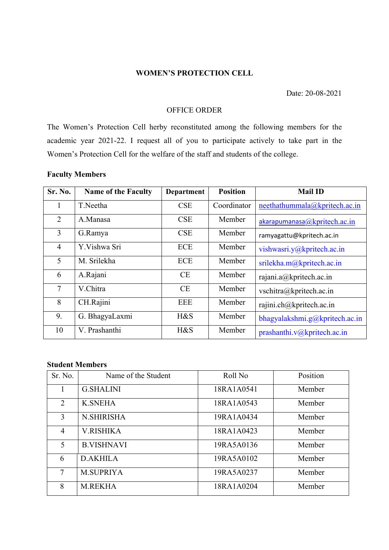#### **WOMEN'S PROTECTION CELL**

Date: 20-08-2021

### OFFICE ORDER

The Women's Protection Cell herby reconstituted among the following members for the academic year 2021-22. I request all of you to participate actively to take part in the Women's Protection Cell for the welfare of the staff and students of the college.

# **Faculty Members**

| Sr. No.         | <b>Name of the Faculty</b> | <b>Department</b> | <b>Position</b> | <b>Mail ID</b>                    |
|-----------------|----------------------------|-------------------|-----------------|-----------------------------------|
|                 | T.Neetha                   | <b>CSE</b>        | Coordinator     | neethathummala@kpritech.ac.in     |
| 2               | A.Manasa                   | <b>CSE</b>        | Member          | akarapumanasa@kpritech.ac.in      |
| 3               | G.Ramya                    | <b>CSE</b>        | Member          | ramyagattu@kpritech.ac.in         |
| $\overline{4}$  | Y.Vishwa Sri               | <b>ECE</b>        | Member          | vishwasri.y@kpritech.ac.in        |
| 5               | M. Srilekha                | ECE               | Member          | srilekha.m@kpritech.ac.in         |
| 6               | A.Rajani                   | <b>CE</b>         | Member          | rajani.a@kpritech.ac.in           |
| $7\overline{ }$ | V.Chitra                   | <b>CE</b>         | Member          | vschitra@kpritech.ac.in           |
| 8               | CH.Rajini                  | <b>EEE</b>        | Member          | rajini.ch@kpritech.ac.in          |
| 9.              | G. BhagyaLaxmi             | $H\&S$            | Member          | bhagyalakshmi.g@kpritech.ac.in    |
| 10              | V. Prashanthi              | $H\&S$            | Member          | prashanthi. $v(a)$ kpritech.ac.in |

# **Student Members**

| Sr. No.        | Name of the Student | Roll No    | Position |
|----------------|---------------------|------------|----------|
|                | <b>G.SHALINI</b>    | 18RA1A0541 | Member   |
| 2              | <b>K.SNEHA</b>      | 18RA1A0543 | Member   |
| 3              | <b>N.SHIRISHA</b>   | 19RA1A0434 | Member   |
| $\overline{4}$ | <b>V.RISHIKA</b>    | 18RA1A0423 | Member   |
| 5              | <b>B.VISHNAVI</b>   | 19RA5A0136 | Member   |
| 6              | <b>D.AKHILA</b>     | 19RA5A0102 | Member   |
| $\tau$         | <b>M.SUPRIYA</b>    | 19RA5A0237 | Member   |
| 8              | <b>M.REKHA</b>      | 18RA1A0204 | Member   |